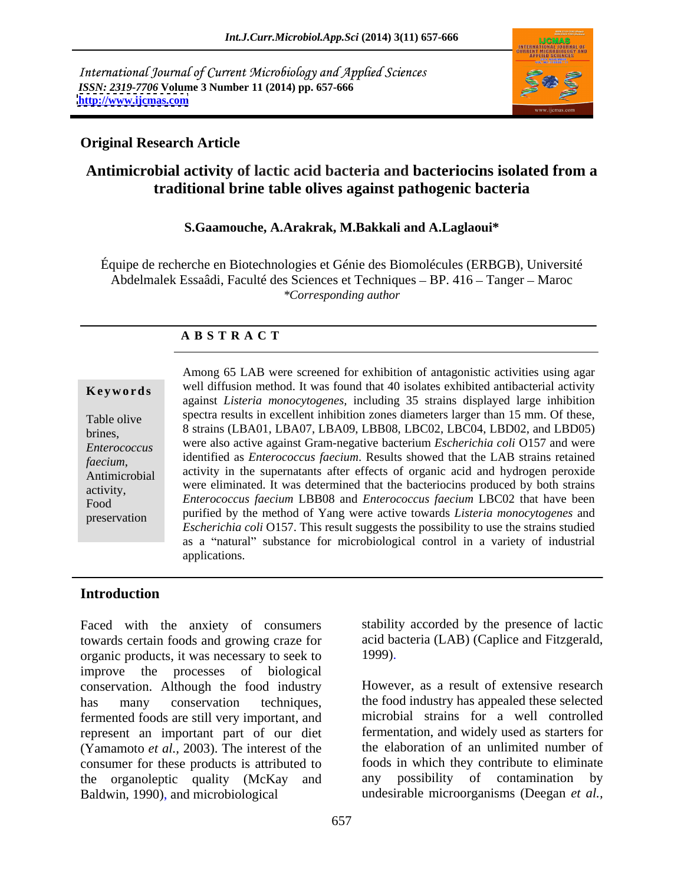International Journal of Current Microbiology and Applied Sciences *ISSN: 2319-7706* **Volume 3 Number 11 (2014) pp. 657-666 <http://www.ijcmas.com>**



# **Original Research Article**

# **Antimicrobial activity of lactic acid bacteria and bacteriocins isolated from a traditional brine table olives against pathogenic bacteria**

### **S.Gaamouche, A.Arakrak, M.Bakkali and A.Laglaoui\***

Équipe de recherche en Biotechnologies et Génie des Biomolécules (ERBGB), Université Abdelmalek Essaâdi, Faculté des Sciences et Techniques – BP. 416 – Tanger – Maroc *\*Corresponding author*

### **A B S T R A C T**

**Keywords** well diffusion method. It was found that 40 isolates exhibited antibacterial activity Table olive spectra results in excellent inhibition zones diameters larger than 15 mm. Of these, 8 strains (LBA01, LBA07, LBA09, LBB08, LBC02, LBC04, LBD02, and LBD05) *Enterococcus*  were also active against Gram-negative bacterium *Escherichia coli* O157 and were *faecium*, and activity in the supernatants after effects of organic acid and hydrogen peroxide<br>Antimicrobial activity in the supernatants after effects of organic acid and hydrogen peroxide were eliminated. It was determined that the bacteriocins produced by both strains activity, Food *Enterococcus faecium* LBB08 and *Enterococcus faecium* LBC02 that have been preservation purified by the method of Yang were active towards *Listeria monocytogenes* and Among 65 LAB were screened for exhibition of antagonistic activities using agar against *Listeria monocytogenes,* including 35 strains displayed large inhibition identified as *Enterococcus faecium*. Results showed that the LAB strains retained *Escherichia coli* O157. This result suggests the possibility to use the strains studied as a "natural" substance for microbiological control in a variety of industrial applications.

# **Introduction**

Faced with the anxiety of consumers towards certain foods and growing craze for acid ba<br>organic products, it was necessary to seek to 1999). organic products, it was necessary to seek to improve the processes of biological conservation. Although the food industry However, as a result of extensive research has many conservation techniques, the food industry has appealed these selected fermented foods are still very important, and represent an important part of our diet (Yamamoto *et al.,* 2003). The interest of the consumer for these products is attributed to the organoleptic quality (McKay and Baldwin, 1990), and microbiological undesirable microorganisms (Deegan *et al.,*

stability accorded by the presence of lactic acid bacteria (LAB) (Caplice and Fitzgerald,

1999).<br>However, as a result of extensive research microbial strains for a well controlled fermentation, and widely used as starters for the elaboration of an unlimited number of foods in which they contribute to eliminate any possibility of contamination by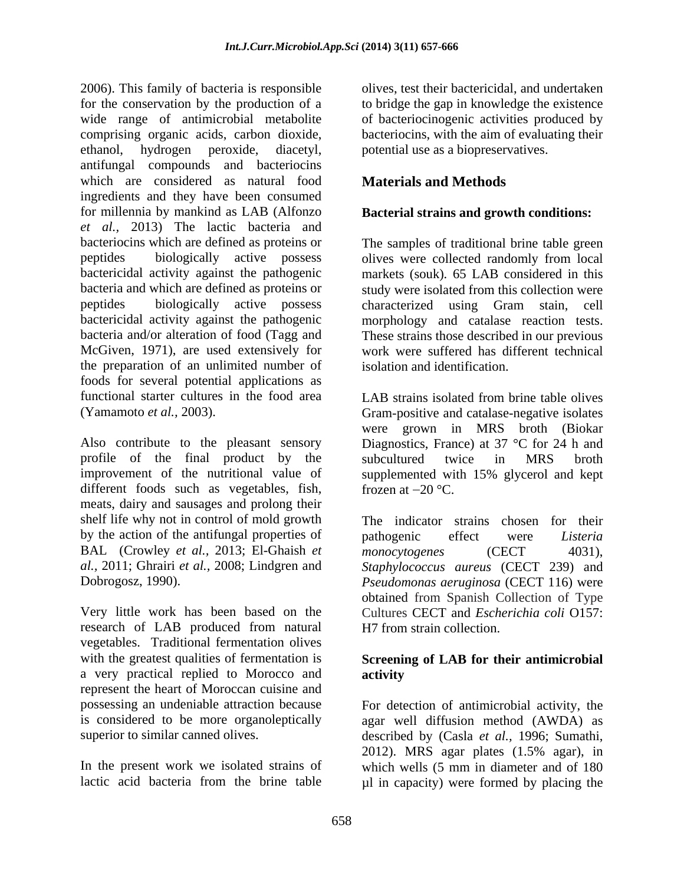2006). This family of bacteria is responsible for the conservation by the production of a to bridge the gap in knowledge the existence wide range of antimicrobial metabolite of bacteriocinogenic activities produced by comprising organic acids, carbon dioxide, bacteriocins, with the aim of evaluating their ethanol, hydrogen peroxide, diacetyl, antifungal compounds and bacteriocins which are considered as natural food ingredients and they have been consumed for millennia by mankind as LAB (Alfonzo **Bacterial strains and growth conditions:** *et al.,* 2013) The lactic bacteria and bacteriocins which are defined as proteins or The samples of traditional brine table green peptides biologically active possess olives were collected randomly from local bactericidal activity against the pathogenic markets (souk)*.* 65 LAB considered in this bacteria and which are defined as proteins or study were isolated from this collection were peptides biologically active possess characterized using Gram stain, cell bactericidal activity against the pathogenic morphology and catalase reaction tests. bacteria and/or alteration of food (Tagg and These strains those described in our previous McGiven, 1971), are used extensively for work were suffered has different technical the preparation of an unlimited number of foods for several potential applications as functional starter cultures in the food area LAB strains isolated from brine table olives

profile of the final product by the subcultured twice in MRS broth different foods such as vegetables, fish, frozen at  $-20$  °C. meats, dairy and sausages and prolong their shelf life why not in control of mold growth by the action of the antifungal properties of pathogenic effect were Listeria BAL (Crowley *et al.,* 2013; El-Ghaish *et monocytogenes* (CECT 4031), *al.,* 2011: Ghrairi *et al.,* 2008: Lindgren and *Stanhylococcus aureus* (CECT 239) and

research of LAB produced from natural vegetables. Traditional fermentation olives with the greatest qualities of fermentation is **Screening of LAB for their antimicrobial** a very practical replied to Morocco and represent the heart of Moroccan cuisine and

olives, test their bactericidal, and undertaken potential use as a biopreservatives.

# **Materials and Methods**

olives were collected randomly from local characterized using Gram stain, cell isolation and identification.

(Yamamoto *et al.*, 2003). Gram-positive and catalase-negative isolates<br>were grown in MRS broth (Biokar<br>Also contribute to the pleasant sensory Diagnostics, France) at 37 °C for 24 h and improvement of the nutritional value of supplemented with 15% glycerol and kept LAB strains isolated from brine table olives Gram-positive and catalase-negative isolates were grown in MRS broth (Biokar Diagnostics, France) at 37 °C for 24 h and subcultured twice in MRS broth frozen at  $-20$  °C.

*al.,* 2011; Ghrairi *et al.,* 2008; Lindgren and *Staphylococcus aureus* (CECT 239) and Dobrogosz, 1990). *Pseudomonas aeruginosa* (CECT 116) were Very little work has been based on the Cultures CECT and *Escherichia coli* O157: The indicator strains chosen for their pathogenic effect were *Listeria monocytogenes* (CECT 4031), obtained from Spanish Collection of Type H7 from strain collection.

# **activity**

possessing an undeniable attraction because For detection of antimicrobial activity, the is considered to be more organoleptically agar well diffusion method (AWDA) as superior to similar canned olives. described by (Casla *et al.,* 1996; Sumathi, In the present work we isolated strains of which wells (5 mm in diameter and of 180 lactic acid bacteria from the brine table  $\mu$ l in capacity) were formed by placing the 2012). MRS agar plates (1.5% agar), in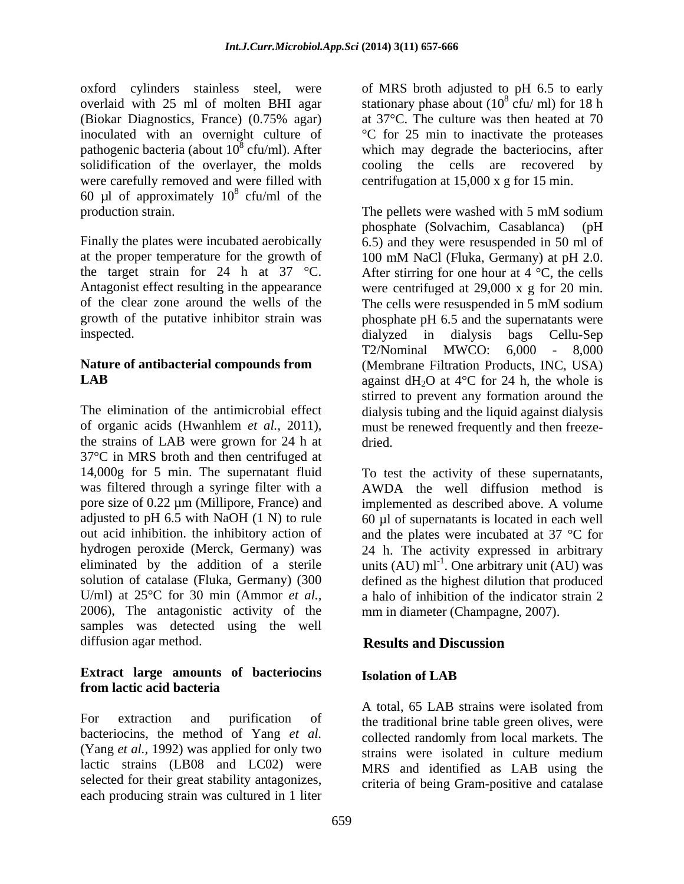(Biokar Diagnostics, France) (0.75% agar) pathogenic bacteria (about  $10^8$  cfu/ml). After solidification of the overlayer, the molds cooling the cells are recovered by 60 µl of approximately  $10^8$  cfu/ml of the  $\frac{8}{2}$  of the state of the state of the state of the state of the state of the state of the state of the state of the state of the state of the state of the state of the state of the state of the state of the state of cfu/ml of the production strain. The pellets were washed with 5 mM sodium

at the proper temperature for the growth of 100 mM NaCl (Fluka, Germany) at pH 2.0. the target strain for 24 h at 37  $\degree$ C. After stirring for one hour at 4  $\degree$ C, the cells inspected.  $dialyzed$  in dialysis bags Cellu-Sep

The elimination of the antimicrobial effect dialysis tubing and the liquid against dialysis of organic acids (Hwanhlem *et al.*, 2011), must be renewed frequently and then freeze-<br>the strains of LAB were grown for 24 h at dried. 37°C in MRS broth and then centrifuged at 14,000g for 5 min. The supernatant fluid To test the activity of these supernatants, was filtered through a syringe filter with a AWDA the well diffusion method is pore size of 0.22 µm (Millipore, France) and implemented as described above. A volume adjusted to pH 6.5 with NaOH (1 N) to rule 60 µl of supernatants is located in each well out acid inhibition. the inhibitory action of and the plates were incubated at 37 °C for hydrogen peroxide (Merck, Germany) was 24 h. The activity expressed in arbitrary eliminated by the addition of a sterile units  $(AU)$  ml<sup>-1</sup>. One arbitrary unit  $(AU)$  was solution of catalase (Fluka, Germany) (300 defined as the highest dilution that produced U/ml) at 25°C for 30 min (Ammor *et al.,* 2006), The antagonistic activity of the samples was detected using the well diffusion agar method. **Results** and Discussion

# **Extract large amounts of bacteriocins from lactic acid bacteria**

For extraction and purification of the traditional brine table green olives, were bacteriocins, the method of Yang *et al.* (Yang *et al.,* 1992) was applied for only two lactic strains (LB08 and LC02) were selected for their great stability antagonizes, each producing strain was cultured in 1 liter

oxford cylinders stainless steel, were of MRS broth adjusted to pH 6.5 to early overlaid with 25 ml of molten BHI agar stationary phase about  $(10<sup>8</sup>$  cfu/ml) for 18 h inoculated with an overnight culture of  $\degree$ C for 25 min to inactivate the proteases cfu/ml). After which may degrade the bacteriocins, after were carefully removed and were filled with centrifugation at 15,000 x g for 15 min.  $\frac{8}{10}$  full for 19 h cfu/ ml) for  $18$  h at 37°C. The culture was then heated at 70 cooling the cells are recovered

Finally the plates were incubated aerobically 6.5) and they were resuspended in 50 ml of Antagonist effect resulting in the appearance were centrifuged at 29,000 x g for 20 min. of the clear zone around the wells of the The cells were resuspended in 5 mM sodium growth of the putative inhibitor strain was phosphate pH 6.5 and the supernatants were **Nature of antibacterial compounds from**  (Membrane Filtration Products, INC, USA) **LAB** against  $dH_2O$  at  $4^{\circ}C$  for 24 h, the whole is The pellets were washed with 5 mM sodium phosphate (Solvachim, Casablanca) (pH 100 mM NaCl (Fluka, Germany) at pH 2.0.<br>After stirring for one hour at  $4 \degree C$ , the cells dialyzed in dialysis bags Cellu-Sep T2/Nominal MWCO: 6,000 - 8,000 stirred to prevent any formation around the must be renewed frequently and then freeze dried. **Example 2018** 

> a halo of inhibition of the indicator strain 2 mm in diameter (Champagne, 2007).

# **Results and Discussion**

# **Isolation of LAB**

A total, 65 LAB strains were isolated from collected randomly from local markets. The strains were isolated in culture medium MRS and identified as LAB using the criteria of being Gram-positive and catalase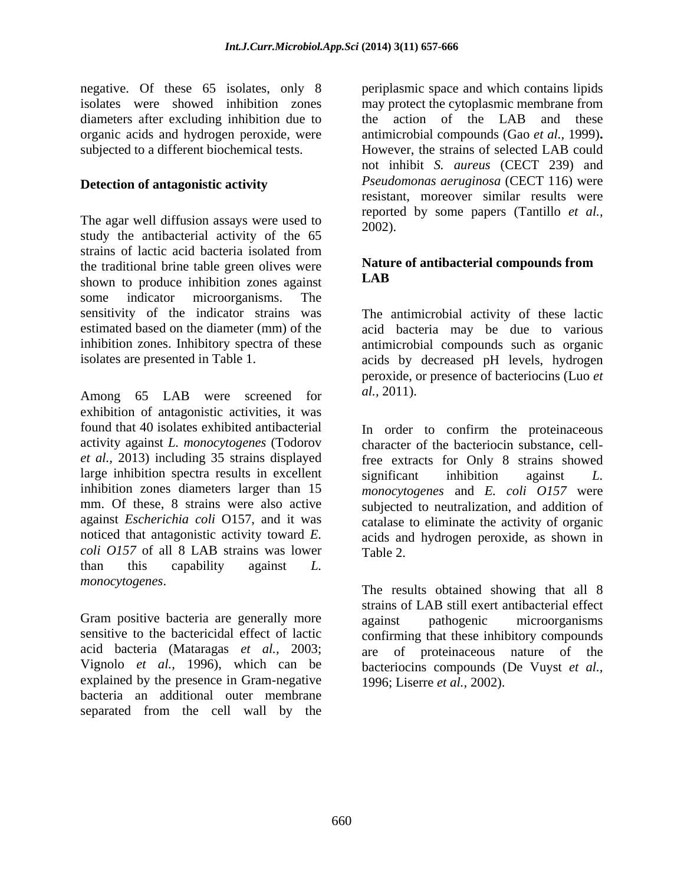negative. Of these 65 isolates, only 8 periplasmic space and which contains lipids diameters after excluding inhibition due to

### **Detection of antagonistic activity**

The agar well diffusion assays were used to  $\frac{16002}{2002}$ . study the antibacterial activity of the 65 strains of lactic acid bacteria isolated from the traditional brine table green olives were **Natural School of the School** sphere is the set of the set of the set of the set of the set of the set of the set of the set of the set of the set of the set of the set of the shown to produce inhibition zones against some indicator microorganisms. The sensitivity of the indicator strains was The antimicrobial activity of these lactic estimated based on the diameter (mm) of the acid bacteria may be due to various inhibition zones. Inhibitory spectra of these antimicrobial compounds such as organic

Among 65 LAB were screened for al., 2011). exhibition of antagonistic activities, it was found that 40 isolates exhibited antibacterial In order to confirm the proteinaceous large inhibition spectra results in excellent significant inhibition against L. *coli O157* of all 8 LAB strains was lower Table 2. than this capability against *L. monocytogenes*.

Gram positive bacteria are generally more against pathogenic microorganisms explained by the presence in Gram-negative bacteria an additional outer membrane separated from the cell wall by the

isolates were showed inhibition zones may protect the cytoplasmic membrane from organic acids and hydrogen peroxide, were antimicrobial compounds (Gao *et al.,* 1999)**.** subjected to a different biochemical tests. However, the strains of selected LAB could the action of the LAB and these not inhibit *S. aureus* (CECT 239) and *Pseudomonas aeruginosa* (CECT 116) were resistant, moreover similar results were reported by some papers (Tantillo *et al.,* 2002).

### **Nature of antibacterial compounds from LAB**

isolates are presented in Table 1. acids by decreased pH levels, hydrogen peroxide, or presence of bacteriocins (Luo *et al.,* 2011).

activity against *L. monocytogenes* (Todorov character of the bacteriocin substance, cell*et al.,* 2013) including 35 strains displayed free extracts for Only 8 strains showed inhibition zones diameters larger than 15 *monocytogenes* and *E. coli O157* were mm. Of these, 8 strains were also active subjected to neutralization, and addition of against *Escherichia coli* O157, and it was catalase to eliminate the activity of organic noticed that antagonistic activity toward *E.* acids and hydrogen peroxide, as shown in significant inhibition against *L.*  Table 2.

sensitive to the bactericidal effect of lactic confirming that these inhibitory compounds acid bacteria (Mataragas *et al.,* 2003; are of proteinaceous nature of the Vignolo *et al.,* 1996), which can be bacteriocins compounds (De Vuyst *et al.,* The results obtained showing that all 8 strains of LAB still exert antibacterial effect against pathogenic microorganisms 1996; Liserre *et al.,* 2002).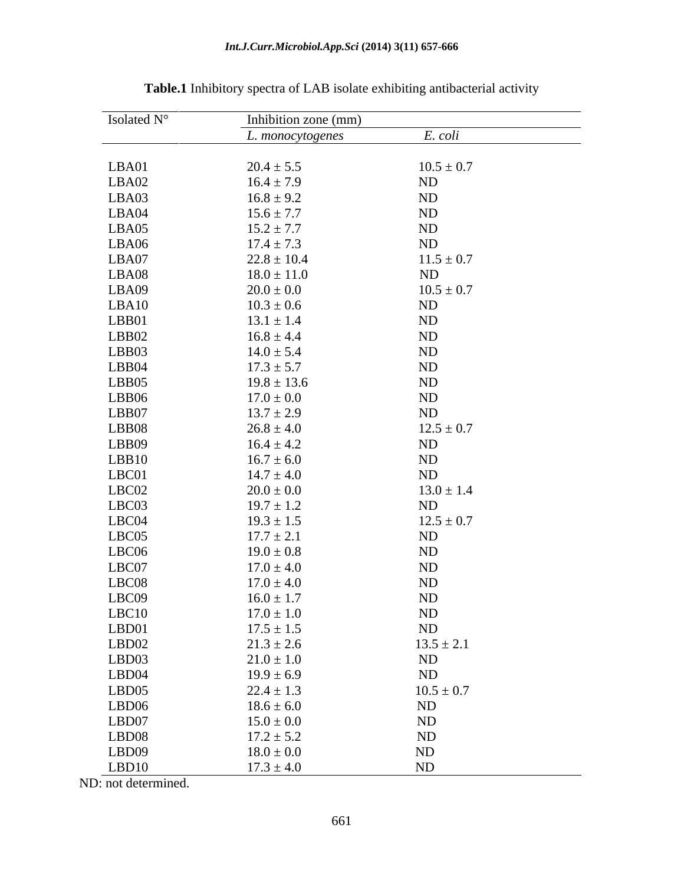| Isolated N° | Inhibition zone (mm) |                                                       |
|-------------|----------------------|-------------------------------------------------------|
|             | L. monocytogenes     | E. coli                                               |
|             |                      |                                                       |
| LBA01       | $20.4 \pm 5.5$       | $10.5 \pm 0.7$                                        |
| LBA02       | $16.4 \pm 7.9$       | ND                                                    |
| LBA03       | $16.8 \pm 9.2$       | ND                                                    |
| LBA04       | $15.6 \pm 7.7$       |                                                       |
| LBA05       | $15.2 \pm 7.7$       | ND<br>ND<br>ND                                        |
| LBA06       | $17.4 \pm 7.3$       |                                                       |
| LBA07       | $22.8 \pm 10.4$      | $11.5 \pm 0.7$                                        |
| LBA08       | $18.0 \pm 11.0$      | ND                                                    |
| LBA09       | $20.0 \pm 0.0$       | $10.5 \pm 0.7$                                        |
| LBA10       | $10.3 \pm 0.6$       | ND                                                    |
| LBB01       | $13.1 \pm 1.4$       | $\frac{ND}{ND}$                                       |
| LBB02       | $16.8 \pm 4.4$       |                                                       |
| LBB03       | $14.0 \pm 5.4$       |                                                       |
| LBB04       | $17.3 \pm 5.7$       | ND<br>ND<br>ND                                        |
| LBB05       | $19.8 \pm 13.6$      |                                                       |
| LBB06       | $17.0 \pm 0.0$       | $\frac{\text{ND}}{\text{ND}}$                         |
| LBB07       | $13.7 \pm 2.9$       |                                                       |
| LBB08       | $26.8 \pm 4.0$       | $12.5 \pm 0.7$                                        |
| LBB09       | $16.4 \pm 4.2$       | ND                                                    |
| LBB10       | $16.7 \pm 6.0$       | $\frac{\text{ND}}{\text{ND}}$                         |
| LBC01       | $14.7 \pm 4.0$       |                                                       |
| LBC02       | $20.0\pm0.0$         | $13.0 \pm 1.4$                                        |
| LBC03       | $19.7 \pm 1.2$       | ND                                                    |
| LBC04       | $19.3 \pm 1.5$       | $12.5 \pm 0.7$                                        |
| LBC05       | $17.7 \pm 2.1$       | ND                                                    |
| LBC06       | $19.0 \pm 0.8$       | $\begin{array}{c} \text{ND} \\ \text{ND} \end{array}$ |
| LBC07       | $17.0 \pm 4.0$       |                                                       |
| LBC08       | $17.0 \pm 4.0$       | $\begin{array}{c} \text{ND} \\ \text{ND} \end{array}$ |
| LBC09       | $16.0 \pm 1.7$       |                                                       |
| LBC10       | $17.0 \pm 1.0$       | $\frac{\text{ND}}{\text{ND}}$                         |
| LBD01       | $17.5 \pm 1.5$       |                                                       |
| LBD02       | $21.3 \pm 2.6$       | $13.5 \pm 2.1$                                        |
| LBD03       | $21.0 \pm 1.0$       | $\frac{\text{ND}}{\text{ND}}$                         |
| LBD04       | $19.9 \pm 6.9$       |                                                       |
| LBD05       | $22.4 \pm 1.3$       | $10.5 \pm 0.7$                                        |
| LBD06       | $18.6 \pm 6.0$       | ND<br>ND<br>ND<br>ND<br>ND                            |
| LBD07       | $15.0 \pm 0.0$       |                                                       |
| LBD08       | $17.2 \pm 5.2$       |                                                       |
| LBD09       | $18.0 \pm 0.0$       |                                                       |
| LBD10       | $17.3 \pm 4.0$       |                                                       |

**Table.1** Inhibitory spectra of LAB isolate exhibiting antibacterial activity

ND: not determined.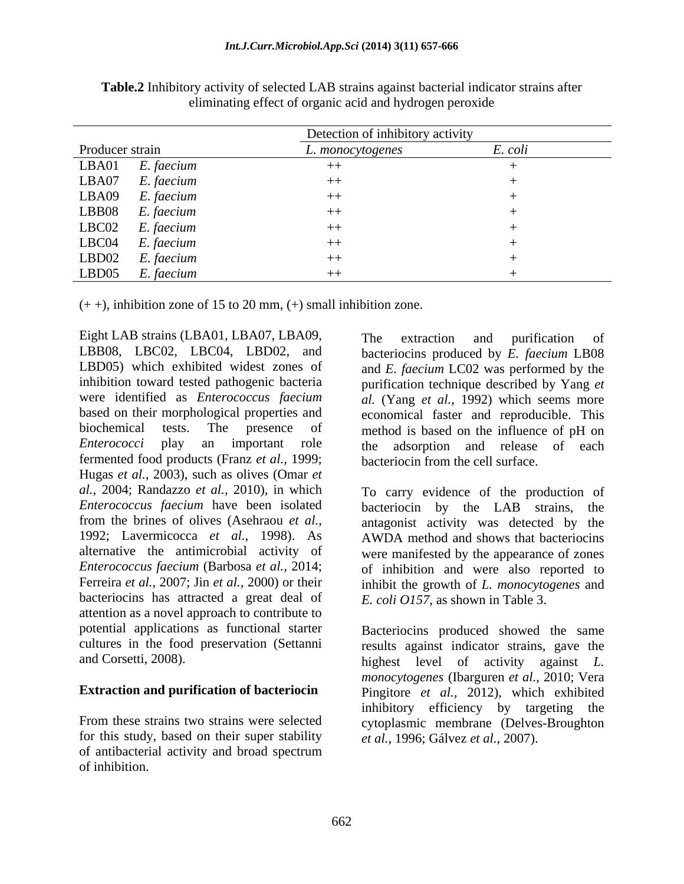|                     | Detection of inhibitory activity |         |
|---------------------|----------------------------------|---------|
| Producer strain     | L. monocytogenes                 | E. coli |
| LBA01<br>E. faecium | キキ                               |         |
| LBA07<br>E. faecium | $++$                             |         |
| LBA09<br>E. faecium | $++$                             |         |
| LBB08<br>E. faecium | $++$                             |         |
| LBCO2<br>E. faecium | $++$                             |         |
| LBC04<br>E. faecium | $++$                             |         |
| LBD02<br>E. faecium | $++$                             |         |
| LBD05<br>E. faecium | $^{++}$                          |         |

**Table.2** Inhibitory activity of selected LAB strains against bacterial indicator strains after eliminating effect of organic acid and hydrogen peroxide

 $(+ +)$ , inhibition zone of 15 to 20 mm,  $(+)$  small inhibition zone.

Eight LAB strains (LBA01, LBA07, LBA09, The extraction and purification of LBB08, LBC02, LBC04, LBD02, and bacteriocins produced by *E. faecium* LB08 LBD05) which exhibited widest zones of and *E. faecium* LC02 was performed by the inhibition toward tested pathogenic bacteria purification technique described by Yang *et*  were identified as *Enterococcus faecium al.* (Yang *et al.,* 1992) which seems more based on their morphological properties and economical faster and reproducible. This biochemical tests. The presence of method is based on the influence of pH on *Enterococci* play an important role the adsorption and release of each fermented food products (Franz *et al.,* 1999; Hugas *et al.,* 2003), such as olives (Omar *et al.,* 2004; Randazzo *et al.,* 2010), in which To carry evidence of the production of *Enterococcus faecium* have been isolated bacteriocin by the LAB strains, the from the brines of olives (Asehraou *et al.,* antagonist activity was detected by the 1992; Lavermicocca *et al.,* 1998). As AWDA method and shows that bacteriocins alternative the antimicrobial activity of were manifested by the appearance of zones *Enterococcus faecium* (Barbosa *et al.,* 2014; of inhibition and were also reported to Ferreira *et al.,* 2007; Jin *et al.,* 2000) or their inhibit the growth of *L. monocytogenes* and bacteriocins has attracted a great deal of attention as a novel approach to contribute to potential applications as functional starter cultures in the food preservation (Settanni results against indicator strains, gave the

for this study, based on their super stability of antibacterial activity and broad spectrum of inhibition.

The extraction and purification of bacteriocin from the cell surface.

*E. coli O157,* as shown in Table 3.

and Corsetti, 2008). highest level of activity against *L.*  **Extraction and purification of bacteriocin** Pingitore *et al.,* 2012), which exhibited From these strains two strains were selected cytoplasmic membrane (Delves-Broughton Bacteriocins produced showed the same *monocytogenes* (Ibarguren *et al.,* 2010; Vera inhibitory efficiency by targeting the *et al.,* 1996; Gálvez *et al.,* 2007).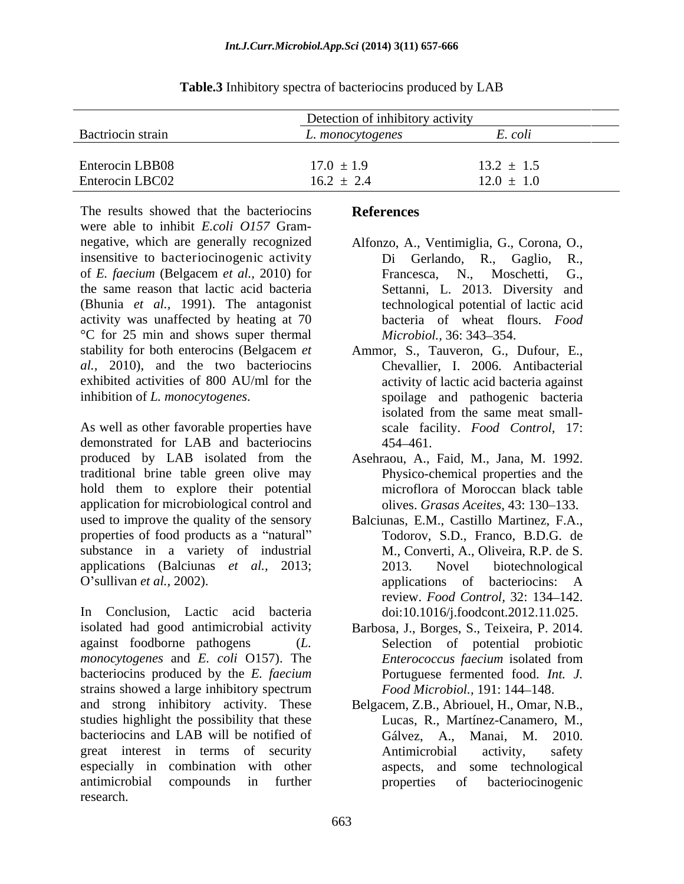|                   | Detection of inhibitory activity |                                |  |
|-------------------|----------------------------------|--------------------------------|--|
| Bactriocin strain | monocytogenes<br>$\sim$          | $\overline{\phantom{a}}$ . COU |  |
| Enterocin LBB08   | $17.0 \pm 1.9$                   | $13.2 \pm 1.5$                 |  |
| Enterocin LBC02   | $16.2 \pm 2.4$                   | $12.0 \pm 1.0$                 |  |

**Table.3** Inhibitory spectra of bacteriocins produced by LAB

The results showed that the bacteriocins References were able to inhibit *E.coli O157* Gram negative, which are generally recognized Alfonzo, A., Ventimiglia, G., Corona, O., insensitive to bacteriocinogenic activity bi Gerlando, R., Gaglio, R., of *E. faecium* (Belgacem *et al.,* 2010) for the same reason that lactic acid bacteria Settanni, L. 2013. Diversity and (Bhunia *et al.,* 1991). The antagonist activity was unaffected by heating at 70 °C for 25 min and shows super thermal stability for both enterocins (Belgacem *et*  Ammor, S., Tauveron, G., Dufour, E., *al.,* 2010), and the two bacteriocins exhibited activities of 800 AU/ml for the activity of lactic acid bacteria against

demonstrated for LAB and bacteriocins 454–461. produced by LAB isolated from the Asehraou, A., Faid, M., Jana, M. 1992. traditional brine table green olive may hold them to explore their potential application for microbiological control and used to improve the quality of the sensory properties of food products as a "natural" substance in a variety of industrial applications (Balciunas *et al.,* 2013; O'sullivan *et al.*, 2002). applications of bacteriocins: A

In Conclusion, Lactic acid bacteria isolated had good antimicrobial activity Barbosa, J., Borges, S., Teixeira, P. 2014. against foodborne pathogens (*L.*  Selection of potential probiotic *monocytogenes* and *E. coli* O157). The bacteriocins produced by the *E. faecium* strains showed a large inhibitory spectrum  $Food Microbiol., 191: 144–148.$ and strong inhibitory activity. These Belgacem, Z.B., Abriouel, H., Omar, N.B., studies highlight the possibility that these bacteriocins and LAB will be notified of Gálvez, A., Manai, M. 2010. great interest in terms of security **and Antimicrobial** activity, safety especially in combination with other antimicrobial compounds in further research.

# **References**

- Di Gerlando, Francesca, N., Moschetti, G., technological potential of lactic acid bacteria of wheat flours. *Food Microbiol.,* 36: 343–354.
- inhibition of *L. monocytogenes*.<br>
As well as other favorable properties have  $\begin{array}{c|c}\n \text{spollage} & \text{and} & \text{pathogenic} & \text{bacteria} \\
 \text{isolated from the same meat small-} & \text{scale} & \text{facility.} & \text{Food} & \text{Control,} & \text{17:}\n \end{array}$ Chevallier, I. 2006. Antibacterial spoilage and pathogenic bacteria<br>isolated from the same meat smallisolated from the same meat small scale facility. *Food Control,* 17: 454 461.
	- Physico-chemical properties and the microflora of Moroccan black table olives. *Grasas Aceites*, 43: 130–133.
	- Balciunas, E.M., Castillo Martinez, F.A., Todorov, S.D., Franco, B.D.G. de M., Converti, A., Oliveira, R.P. de S. 2013. Novel biotechnological applications of bacteriocins: A review. *Food Control*, 32: 134-142. doi:10.1016/j.foodcont.2012.11.025.
	- *Enterococcus faecium* isolated from Portuguese fermented food. *Int. J. Food Microbiol.,* 191: 144-148.
	- Lucas, R., Martínez-Canamero, M., Gálvez, A., Manai, M. 2010. Antimicrobial activity, safety aspects, and some technological properties of bacteriocinogenic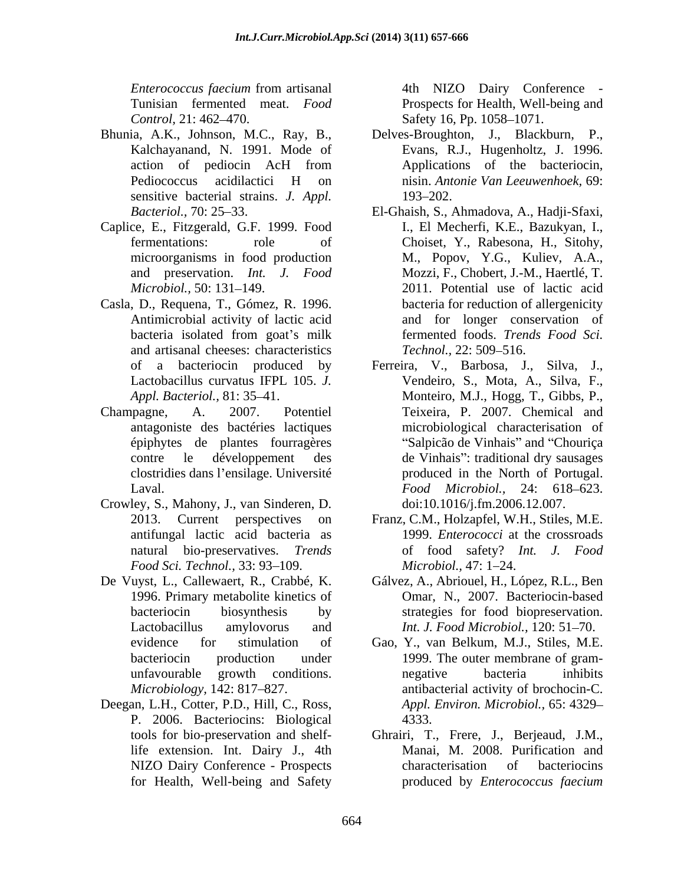*Enterococcus faecium* from artisanal Tunisian fermented meat. *Food*  Prospects for Health, Well-being and

- Bhunia, A.K., Johnson, M.C., Ray, B., Kalchayanand, N. 1991. Mode of sensitive bacterial strains. *J. Appl.* 193–202.
- Caplice, E., Fitzgerald, G.F. 1999. Food
- Casla, D., Requena, T., Gómez, R. 1996. and artisanal cheeses: characteristics Technol., 22: 509–516.
- antagoniste des bactéries lactiques
- Crowley, S., Mahony, J., van Sinderen, D. *Food Sci. Technol.,* 33: 93–109. *Microbiol., 47: 1–24.*
- De Vuyst, L., Callewaert, R., Crabbé, K.
- Deegan, L.H., Cotter, P.D., Hill, C., Ross, P. 2006. Bacteriocins: Biological

*Control,* 21: 462–470. Safety 16, Pp. 1058–1071. 4th NIZO Dairy Conference -

- action of pediocin AcH from Applications of the bacteriocin, Pediococcus acidilactici H on nisin. Antonie Van Leeuwenhoek, 69: Delves-Broughton, J., Blackburn, P., Evans, R.J., Hugenholtz, J. 1996. Applications of the bacteriocin, nisin. *Antonie Van Leeuwenhoek,* 69: 193–202.
- *Bacteriol.,* 70: 25 33. El-Ghaish, S., Ahmadova, A., Hadji-Sfaxi, fermentations: role of Choiset, Y., Rabesona, H., Sitohy, microorganisms in food production M., Popov, Y.G., Kuliev, A.A., and preservation. *Int. J. Food* Mozzi, F., Chobert, J.-M., Haertlé, T. *Microbiol.*, 50: 131–149. 2011. Potential use of lactic acid Antimicrobial activity of lactic acid and for longer conservation of bacteria isolated from goat's milk fermented foods. Trends Food Sci. I., El Mecherfi, K.E., Bazukyan, I., bacteria for reduction of allergenicity fermented foods. *Trends Food Sci. Technol.,* 22: 509–516.
- of a bacteriocin produced by Ferreira, V., Barbosa, J., Silva, J., Lactobacillus curvatus IFPL 105. *J.*  Vendeiro, S., Mota, A., Silva, F., Appl. Bacteriol., 81: 35–41. Monteiro, M.J., Hogg, T., Gibbs, P., Champagne, A. 2007. Potentiel Teixeira, P. 2007. Chemical and épiphytes de plantes fourragères "Salpicão de Vinhais" and "Chouriça contre le développement des de Vinhais": traditional dry sausages clostridies dans l ensilage. Université produced in the North of Portugal. Laval. *Food Microbiol.,* 24: 618 623. microbiological characterisation of doi:10.1016/j.fm.2006.12.007.
	- 2013. Current perspectives on Franz, C.M., Holzapfel, W.H., Stiles, M.E. antifungal lactic acid bacteria as 1999. *Enterococci* at the crossroads natural bio-preservatives. *Trends*  of food safety? *Int. J. Food Microbiol.,* 47: 1–24.
	- 1996. Primary metabolite kinetics of Omar, N., 2007. Bacteriocin-based bacteriocin biosynthesis by strategies for food biopreservation.Lactobacillus amylovorus and *Int. J. Food Microbiol.*, 120: 51–70. Gálvez, A., Abriouel, H., López, R.L., Ben
	- evidence for stimulation of Gao, Y., van Belkum, M.J., Stiles, M.E. bacteriocin production under 1999. The outer membrane of gram unfavourable growth conditions. *Microbiology,* 142: 817–827. **A** antibacterial activity of brochocin-C. negative bacteria inhibits *Appl. Environ. Microbiol.,* 65: 4329 4333.
	- tools for bio-preservation and shelf-Ghrairi, T., Frere, J., Berjeaud, J.M., life extension. Int. Dairy J., 4th Manai, M. 2008. Purification and NIZO Dairy Conference - Prospects for Health, Well-being and Safety produced by *Enterococcus faecium*characterisation of bacteriocins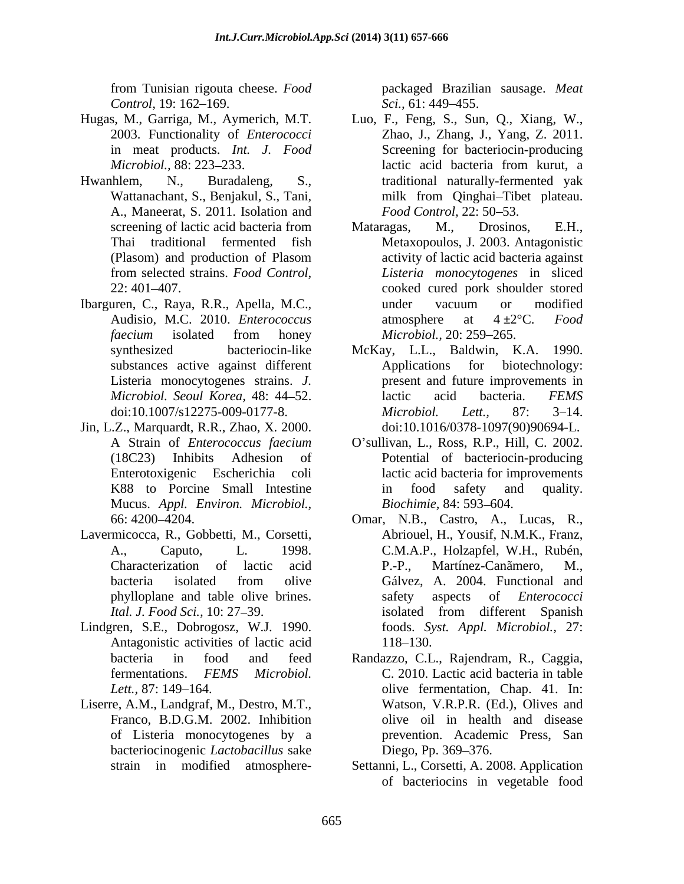from Tunisian rigouta cheese. *Food Control,* 19: 162–169. *Sci.,* 61: 449–455.

- 
- A., Maneerat, S. 2011. Isolation and Food Control. 22: 50–53.
- Ibarguren, C., Raya, R.R., Apella, M.C.,
- Jin, L.Z., Marquardt, R.R., Zhao, X. 2000. Mucus. *Appl. Environ. Microbiol.,*
- Lavermicocca, R., Gobbetti, M., Corsetti,
- Lindgren, S.E., Dobrogosz, W.J. 1990. Antagonistic activities of lactic acid 118–130.
- of Listeria monocytogenes by a bacteriocinogenic *Lactobacillus* sake

packaged Brazilian sausage. *Meat Sci.,* 61: 449–455.

- Hugas, M., Garriga, M., Aymerich, M.T. Luo, F., Feng, S., Sun, Q., Xiang, W., 2003. Functionality of *Enterococci* Zhao, J., Zhang, J., Yang, Z. 2011. 2003. Functionality of *Enterococci*  in meat products. *Int. J. Food* Screening for bacteriocin-producing *Microbiol.,* 88: 223–233. lactic acid bacteria from kurut, a Hwanhlem, N., Buradaleng, S., traditional naturally-fermented yak Wattanachant, S., Benjakul, S., Tani, milk from Qinghai-Tibet plateau. lactic acid bacteria from kurut, a milk from Qinghai–Tibet plateau. *Food Control,* 22: 50–53.
	- screening of lactic acid bacteria from Mataragas, M., Drosinos, E.H., Thai traditional fermented fish Metaxopoulos, J. 2003. Antagonistic (Plasom) and production of Plasom from selected strains. *Food Control, Listeria monocytogenes* in sliced 22: 401 407. cooked cured pork shoulder stored Audisio, M.C. 2010. *Enterococcus* atmosphere at 4 ±2<sup>o</sup>C. *Food faecium* isolated from honey Mataragas, M., Drosinos, E.H., activity of lactic acid bacteria against under vacuum or modified atmosphere at 4 ±2°C. *Food Microbiol.,* 20: 259–265.
	- synthesized bacteriocin-like McKay, L.L., Baldwin, K.A. 1990. substances active against different Applications for biotechnology: Listeria monocytogenes strains. *J.*  present and future improvements in *Microbiol. Seoul Korea,* 48: 44 52. doi:10.1007/s12275-009-0177-8. *Microbiol. Lett.*, 87: 3–14. Applications for biotechnology: lactic acid bacteria. *FEMS Microbiol. Lett., 87: 3–14.* doi:10.1016/0378-1097(90)90694-L.
	- A Strain of *Enterococcus faecium* O sullivan, L., Ross, R.P., Hill, C. 2002. (18C23) Inhibits Adhesion of Potential of bacteriocin-producing Enterotoxigenic Escherichia coli lactic acid bacteria for improvements K88 to Porcine Small Intestine in food safety and quality. in food safety and quality. *Biochimie,* 84: 593–604.
	- 66: 4200 4204. Omar, N.B., Castro, A., Lucas, R., A., Caputo, L. 1998. C.M.A.P., Holzapfel, W.H., Rubén, Characterization of lactic acid bacteria isolated from olive Gálvez, A. 2004. Functional and phylloplane and table olive brines. *Ital. J. Food Sci.,* 10: 27–39. **Ital.** *I. Food Sci.,* 10: 27–39. Abriouel, H., Yousif, N.M.K., Franz, P.-P., Martínez-Canãmero, M., Gálvez, A. 2004. Functional and safety aspects of *Enterococci* isolated from different Spanish foods. *Syst. Appl. Microbiol.,* 27: 118–130.
- bacteria in food and feed Randazzo, C.L., Rajendram, R., Caggia, fermentations. *FEMS Microbiol.* C. 2010. Lactic acid bacteria in table *Lett.*, 87: 149–164. **but in the set of the set of the set of the set of the set of the set of the set of the set of the set of the set of the set of the set of the set of the set of the set of the set of the set of the s** Liserre, A.M., Landgraf, M., Destro, M.T., Watson, V.R.P.R. (Ed.), Olives and Franco, B.D.G.M. 2002. Inhibition olive oil in health and disease Watson, V.R.P.R. (Ed.), Olives and olive oil in health and disease prevention. Academic Press, San Diego, Pp. 369–376.
	- strain in modified atmosphere-Settanni, L., Corsetti, A. 2008. Application of bacteriocins in vegetable food